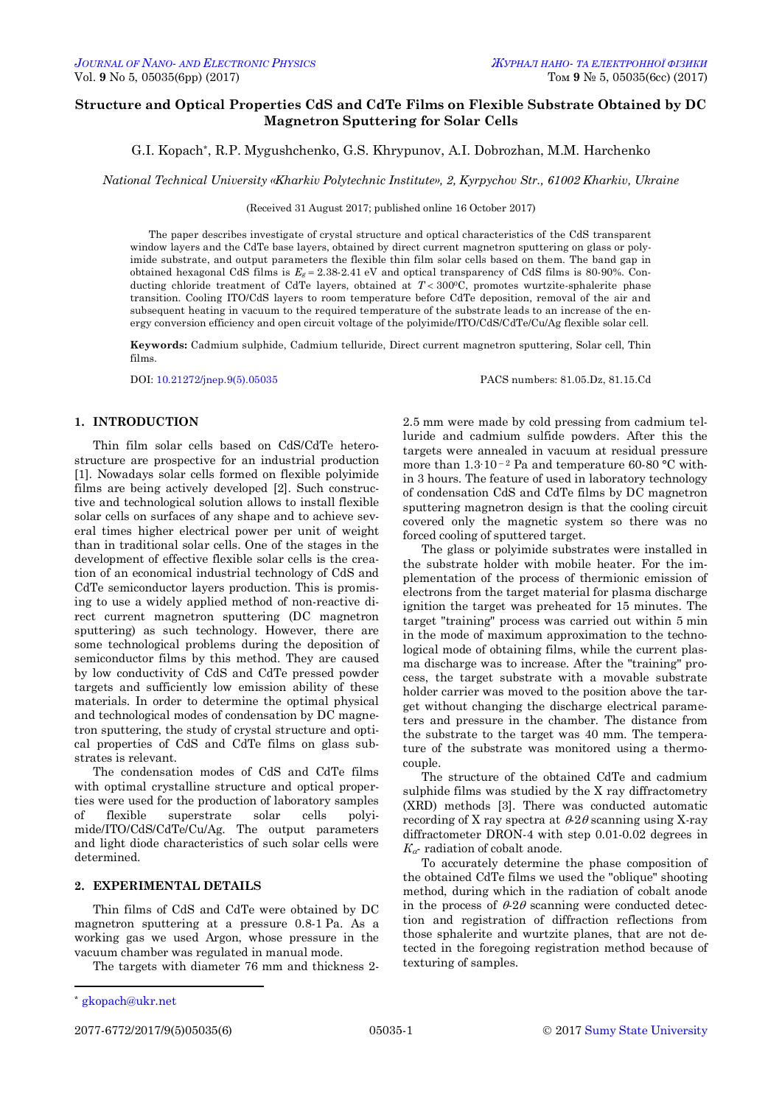# **Structure and Optical Properties CdS and CdTe Films on Flexible Substrate Obtained by DC Magnetron Sputtering for Solar Cells**

G.I. Kopach\*, R.P. Mygushchenko, G.S. Khrypunov, A.I. Dobrozhan, M.M. Harchenko

*National Technical University «Kharkіv Polytechnic Institute», 2, Kyrpychov Str., 61002 Kharkiv, Ukraine*

(Received 31 August 2017; published online 16 October 2017)

The paper describes investigate of crystal structure and optical characteristics of the CdS transparent window layers and the CdTe base layers, obtained by direct current magnetron sputtering on glass or polyimide substrate, and output parameters the flexible thin film solar cells based on them. The band gap in obtained hexagonal CdS films is  $E_g = 2.38{\text -}2.41$  eV and optical transparency of CdS films is 80-90%. Conducting chloride treatment of CdTe layers, obtained at  $T < 300^{\circ}$ C, promotes wurtzite-sphalerite phase transition. Cooling ITO/CdS layers to room temperature before CdTe deposition, removal of the air and subsequent heating in vacuum to the required temperature of the substrate leads to an increase of the energy conversion efficiency and open circuit voltage of the polyimide/ITO/CdS/CdTe/Cu/Ag flexible solar cell.

**Keywords:** Cadmium sulphide, Cadmium telluride, Direct current magnetron sputtering, Solar cell, Thin films.

DOI: [10.21272/jnep.9\(5\).05035](http://doi.org/10.21272/jnep.9(5).05035) PACS numbers: 81.05.Dz, 81.15.Cd

## **1. INTRODUCTION**

Thin film solar cells based on CdS/CdTe heterostructure are prospective for an industrial production [1]. Nowadays solar cells formed on flexible polyimide films are being actively developed [2]. Such constructive and technological solution allows to install flexible solar cells on surfaces of any shape and to achieve several times higher electrical power per unit of weight than in traditional solar cells. One of the stages in the development of effective flexible solar cells is the creation of an economical industrial technology of CdS and CdTe semiconductor layers production. This is promising to use a widely applied method of non-reactive direct current magnetron sputtering (DC magnetron sputtering) as such technology. However, there are some technological problems during the deposition of semiconductor films by this method. They are caused by low conductivity of CdS and CdTe pressed powder targets and sufficiently low emission ability of these materials. In order to determine the optimal physical and technological modes of condensation by DC magnetron sputtering, the study of crystal structure and optical properties of CdS and CdTe films on glass substrates is relevant.

The condensation modes of CdS and CdTe films with optimal crystalline structure and optical properties were used for the production of laboratory samples of flexible superstrate solar cells polyimide/ITO/CdS/CdTe/Cu/Ag. The output parameters and light diode characteristics of such solar cells were determined.

## **2. EXPERIMENTAL DETAILS**

Thin films of CdS and CdTe were obtained by DC magnetron sputtering at a pressure 0.8-1 Pa. As a working gas we used Argon, whose pressure in the vacuum chamber was regulated in manual mode.

The targets with diameter 76 mm and thickness 2-

2.5 mm were made by cold pressing from cadmium telluride and cadmium sulfide powders. After this the targets were annealed in vacuum at residual pressure more than  $1.3 \cdot 10^{-2}$  Pa and temperature 60-80 °C within 3 hours. The feature of used in laboratory technology of condensation CdS and CdTe films by DC magnetron sputtering magnetron design is that the cooling circuit covered only the magnetic system so there was no forced cooling of sputtered target.

The glass or polyimide substrates were installed in the substrate holder with mobile heater. For the implementation of the process of thermionic emission of electrons from the target material for plasma discharge ignition the target was preheated for 15 minutes. The target "training" process was carried out within 5 min in the mode of maximum approximation to the technological mode of obtaining films, while the current plasma discharge was to increase. After the "training" process, the target substrate with a movable substrate holder carrier was moved to the position above the target without changing the discharge electrical parameters and pressure in the chamber. The distance from the substrate to the target was 40 mm. The temperature of the substrate was monitored using a thermocouple.

The structure of the obtained CdTe and cadmium sulphide films was studied by the X ray diffractometry (XRD) methods [3]. There was conducted automatic recording of X ray spectra at  $\theta$ -2 $\theta$  scanning using X-ray diffractometer DRON-4 with step 0.01-0.02 degrees in  $K_{\alpha}$ - radiation of cobalt anode.

To accurately determine the phase composition of the obtained CdTe films we used the "oblique" shooting method, during which in the radiation of cobalt anode in the process of  $\theta$ -2 $\theta$  scanning were conducted detection and registration of diffraction reflections from those sphalerite and wurtzite planes, that are not detected in the foregoing registration method because of texturing of samples.

**.** 

<span id="page-0-3"></span><span id="page-0-2"></span><span id="page-0-1"></span><span id="page-0-0"></span>

[gkopach@ukr.net](mailto:gkopach@ukr.net)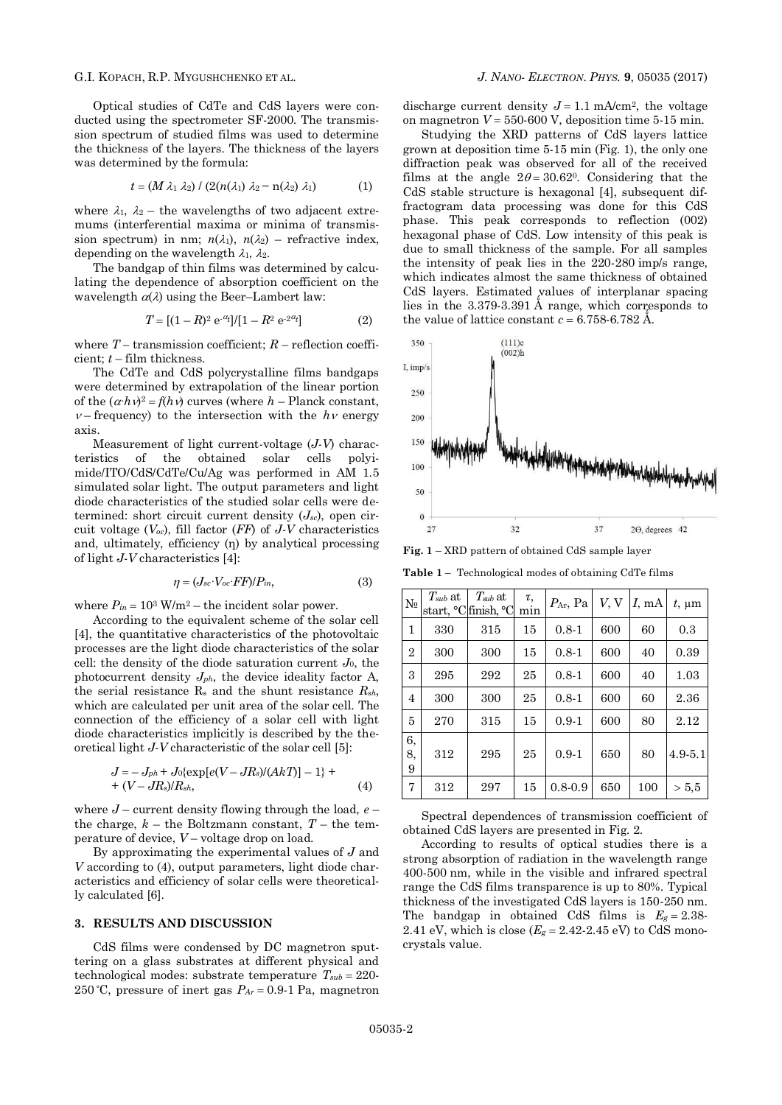Optical studies of CdTe and CdS layers were conducted using the spectrometer SF-2000. The transmission spectrum of studied films was used to determine the thickness of the layers. The thickness of the layers was determined by the formula:

$$
t = (M \lambda_1 \lambda_2) / (2(n(\lambda_1) \lambda_2 - n(\lambda_2) \lambda_1) \tag{1}
$$

where  $\lambda_1$ ,  $\lambda_2$  – the wavelengths of two adjacent extremums (interferential maxima or minima of transmission spectrum) in nm;  $n(\lambda_1)$ ,  $n(\lambda_2)$  – refractive index, depending on the wavelength  $\lambda_1$ ,  $\lambda_2$ .

The bandgap of thin films was determined by calculating the dependence of absorption coefficient on the wavelength  $\alpha(\lambda)$  using the Beer–Lambert law:

$$
T = [(1 - R)^2 e^{-\alpha_t}] / [1 - R^2 e^{-2\alpha_t}]
$$
 (2)

where  $T$  – transmission coefficient;  $R$  – reflection coefficient; *t* – film thickness.

The CdTe and CdS polycrystalline films bandgaps were determined by extrapolation of the linear portion of the  $(\alpha \cdot h \nu)^2 = f(h \nu)$  curves (where *h* – Planck constant,  $v$ –frequency) to the intersection with the  $h v$  energy axis.

Measurement of light current-voltage (*J-V*) characteristics of the obtained solar cells polyimide/ITO/CdS/CdTe/Cu/Ag was performed in AM 1.5 simulated solar light. The output parameters and light diode characteristics of the studied solar cells were determined: short circuit current density (*Jsc*), open circuit voltage (*Voc*), fill factor (*FF*) of *J-V* characteristics and, ultimately, efficiency (η) by analytical processing of light *J-V* characteristics [4]:

$$
\eta = (J_{sc} \cdot V_{oc} \cdot FF) / P_{in},\tag{3}
$$

where  $P_{in} = 10^3$  W/m<sup>2</sup> – the incident solar power.

According to the equivalent scheme of the solar cell [4], the quantitative characteristics of the photovoltaic processes are the light diode characteristics of the solar cell: the density of the diode saturation current *J*0, the photocurrent density *Jph*, the device ideality factor A, the serial resistance  $R_s$  and the shunt resistance  $R_{sh}$ , which are calculated per unit area of the solar cell. The connection of the efficiency of a solar cell with light diode characteristics implicitly is described by the theoretical light *J-V* characteristic of the solar cell [5]:

$$
J = -J_{ph} + J_0 \{ \exp[e(V - JR_s)/(AkT)] - 1 \} + (V - JR_s)/R_{sh}, \tag{4}
$$

where *J* – current density flowing through the load, *е* – the charge,  $k$  – the Boltzmann constant,  $T$  – the temperature of device, *V* – voltage drop on load.

By approximating the experimental values of *J* and *V* according to (4), output parameters, light diode characteristics and efficiency of solar cells were theoretically calculated [6].

### **3. RESULTS AND DISCUSSION**

CdS films were condensed by DC magnetron sputtering on a glass substrates at different physical and technological modes: substrate temperature  $T_{sub} = 220$ -250 °C, pressure of inert gas  $P_{Ar} = 0.9$ -1 Pa, magnetron

### G.I. KOPACH, R.P. MYGUSHCHENKO ET AL. *J. NANO- ELECTRON. PHYS.* **[9](#page-0-2)**, [05035](#page-0-2) [\(2017\)](#page-0-2)

discharge current density  $J = 1.1$  mA/cm<sup>2</sup>, the voltage on magnetron  $V = 550-600$  V, deposition time  $5-15$  min.

Studying the XRD patterns of CdS layers lattice grown at deposition time 5-15 min (Fig. 1), the only one diffraction peak was observed for all of the received films at the angle  $2\theta = 30.62^{\circ}$ . Considering that the CdS stable structure is hexagonal [4], subsequent diffractogram data processing was done for this CdS phase. This peak corresponds to reflection (002) hexagonal phase of CdS. Low intensity of this peak is due to small thickness of the sample. For all samples the intensity of peak lies in the 220-280 imp/s range, which indicates almost the same thickness of obtained CdS layers. Estimated values of interplanar spacing lies in the  $3.379-3.391$  Å range, which corresponds to the value of lattice constant  $c = 6.758-6.782$  Å.



**Fig. 1** – XRD pattern of obtained СdS sample layer

**Table 1** – Technological modes of obtaining CdTe films

| $\rm No$       | $T_{sub}$ at | $T_{sub}$ at<br>start, °C finish, °C | τ,<br>min | $P_{\text{Ar}}$ , Pa | V, V | I, mA | $t$ , $\mu$ m |
|----------------|--------------|--------------------------------------|-----------|----------------------|------|-------|---------------|
| 1              | 330          | 315                                  | 15        | $0.8 - 1$            | 600  | 60    | 0.3           |
| $\overline{2}$ | 300          | 300                                  | 15        | $0.8 - 1$            | 600  | 40    | 0.39          |
| 3              | 295          | 292                                  | 25        | $0.8 - 1$            | 600  | 40    | 1.03          |
| $\overline{4}$ | 300          | 300                                  | 25        | $0.8 - 1$            | 600  | 60    | 2.36          |
| 5              | 270          | 315                                  | 15        | $0.9 - 1$            | 600  | 80    | 2.12          |
| 6,<br>8,<br>9  | 312          | 295                                  | 25        | $0.9 - 1$            | 650  | 80    | $4.9 - 5.1$   |
| 7              | 312          | 297                                  | 15        | $0.8 - 0.9$          | 650  | 100   | > 5.5         |

Spectral dependences of transmission coefficient of obtained CdS layers are presented in Fig. 2.

According to results of optical studies there is a strong absorption of radiation in the wavelength range 400-500 nm, while in the visible and infrared spectral range the CdS films transparence is up to 80%. Typical thickness of the investigated CdS layers is 150-250 nm. The bandgap in obtained CdS films is  $E_g = 2.38$ -2.41 eV, which is close  $(E_g = 2.42 - 2.45 \text{ eV})$  to CdS monocrystals value.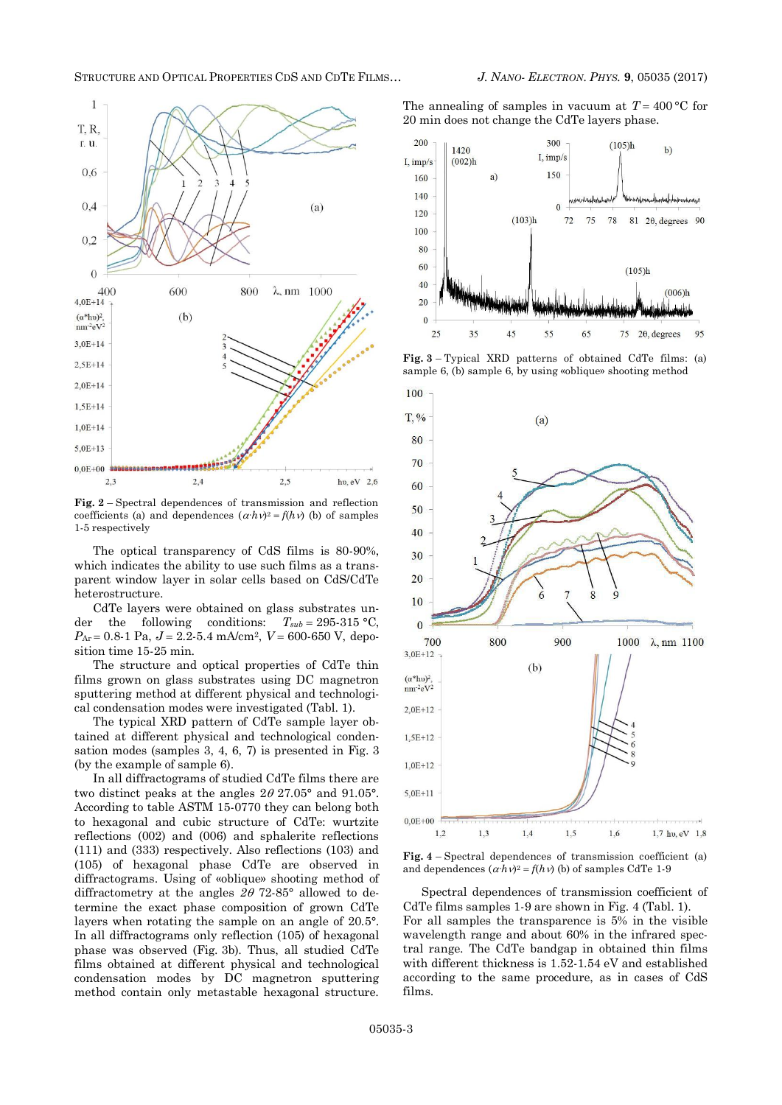### STRUCTURE AND OPTICAL PROPERTIES CDS AND CDTE FILMS… *J. NANO- ELECTRON. PHYS.* **[9](#page-0-2)**, [05035](#page-0-2) [\(2017\)](#page-0-2)



**Fig. 2** – Spectral dependences of transmission and reflection coefficients (a) and dependences  $(\alpha \cdot h \nu)^2 = f(h \nu)$  (b) of samples 1-5 respectively

The optical transparency of CdS films is 80-90%, which indicates the ability to use such films as a transparent window layer in solar cells based on CdS/CdTe heterostructure.

CdTe layers were obtained on glass substrates under the following conditions:  $T_{sub} = 295-315$  °C,  $P_{Ar} = 0.8-1$  Pa,  $J = 2.2-5.4$  mA/cm<sup>2</sup>,  $V = 600-650$  V, deposition time 15-25 min.

The structure and optical properties of CdTe thin films grown on glass substrates using DC magnetron sputtering method at different physical and technological condensation modes were investigated (Tabl. 1).

The typical XRD pattern of СdTe sample layer obtained at different physical and technological condensation modes (samples 3, 4, 6, 7) is presented in Fig. 3 (by the example of sample 6).

In all diffractograms of studied CdTe films there are two distinct peaks at the angles  $2\theta$  27.05° and 91.05°. According to table ASTM 15-0770 they can belong both to hexagonal and cubic structure of CdTe: wurtzite reflections (002) and (006) and sphalerite reflections (111) and (333) respectively. Also reflections (103) and (105) of hexagonal phase CdTe are observed in diffractograms. Using of «oblique» shooting method of diffractometry at the angles  $2\theta$  72-85° allowed to determine the exact phase composition of grown CdTe layers when rotating the sample on an angle of 20.5°. In all diffractograms only reflection (105) of hexagonal phase was observed (Fig. 3b). Thus, all studied CdTe films obtained at different physical and technological condensation modes by DC magnetron sputtering method contain only metastable hexagonal structure.

The annealing of samples in vacuum at  $T = 400 \degree C$  for 20 min does not change the CdTe layers phase.



**Fig. 3** – Typical XRD patterns of obtained СdTe films: (a) sample 6, (b) sample 6, by using «oblique» shooting method



**Fig. 4** – Spectral dependences of transmission coefficient (a) and dependences  $(\alpha \cdot h \nu)^2 = f(h \nu)$  (b) of samples CdTe 1-9

Spectral dependences of transmission coefficient of CdTe films samples 1-9 are shown in Fig. 4 (Tabl. 1). For all samples the transparence is 5% in the visible wavelength range and about 60% in the infrared spectral range. The CdTe bandgap in obtained thin films with different thickness is 1.52-1.54 eV and established according to the same procedure, as in cases of CdS films.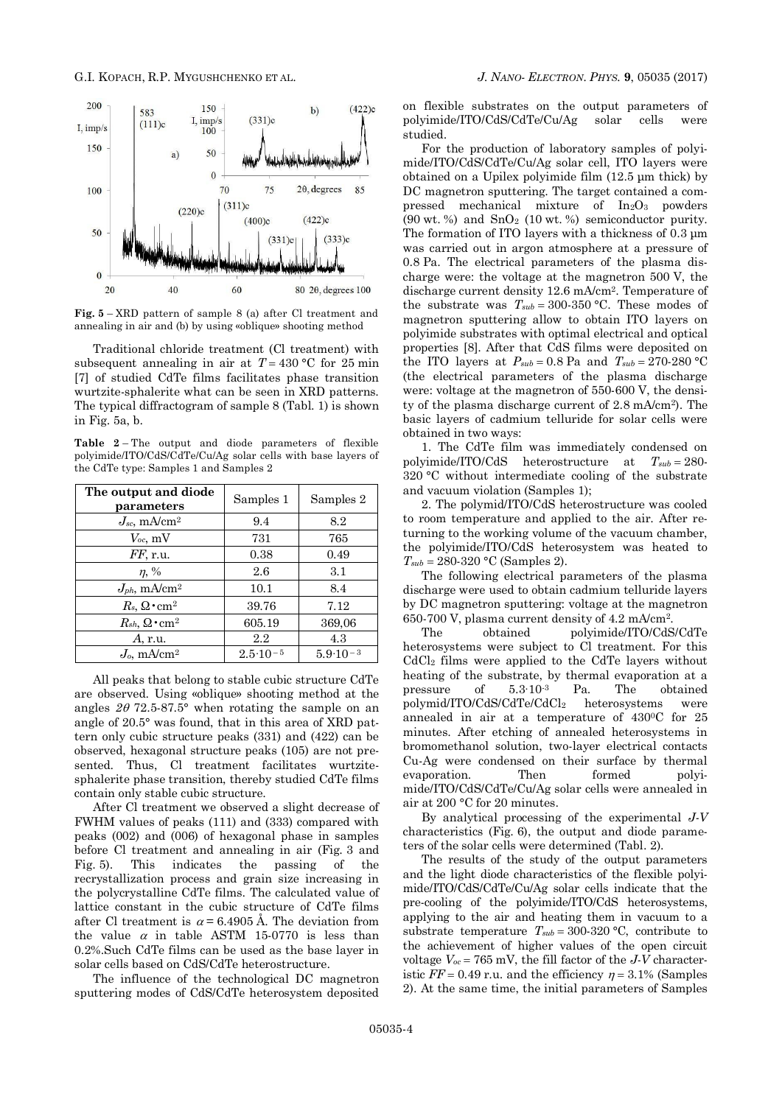

**Fig. 5** – XRD pattern of sample 8 (a) after Cl treatment and annealing in air and (b) by using «oblique» shooting method

Traditional chloride treatment (Cl treatment) with subsequent annealing in air at  $T = 430$  °C for 25 min [7] of studied CdTe films facilitates phase transition wurtzite-sphalerite what can be seen in XRD patterns. The typical diffractogram of sample 8 (Tabl. 1) is shown in Fig. 5a, b.

**Тable 2** – The output and diode parameters of flexible polyimide/ITO/CdS/CdTe/Cu/Ag solar cells with base layers of the CdTe type: Samples 1 and Samples 2

| The output and diode<br>parameters        | Samples 1           | Samples 2           |
|-------------------------------------------|---------------------|---------------------|
| $J_{sc}$ , mA/cm <sup>2</sup>             | 9.4                 | 8.2                 |
| $V_{oc}$ , mV                             | 731                 | 765                 |
| $FF$ , r.u.                               | 0.38                | 0.49                |
| $\eta$ , %                                | 2.6                 | 3.1                 |
| $J_{ph}$ , mA/cm <sup>2</sup>             | 10.1                | 8.4                 |
| $R_s, \Omega\,mathbf{cm}^2$               | 39.76               | 7.12                |
| $R_{sh}$ , $\Omega \cdot$ cm <sup>2</sup> | 605.19              | 369,06              |
| A, r.u.                                   | $2.2\,$             | 4.3                 |
| $J_0$ , mA/cm <sup>2</sup>                | $2.5 \cdot 10^{-5}$ | $5.9 \cdot 10^{-3}$ |

All peaks that belong to stable cubic structure CdTe are observed. Using «oblique» shooting method at the angles  $2\theta$  72.5-87.5° when rotating the sample on an angle of 20.5° was found, that in this area of XRD pattern only cubic structure peaks (331) and (422) can be observed, hexagonal structure peaks (105) are not presented. Thus, Cl treatment facilitates wurtzitesphalerite phase transition, thereby studied CdTe films contain only stable cubic structure.

After Cl treatment we observed a slight decrease of FWHM values of peaks (111) and (333) compared with peaks (002) and (006) of hexagonal phase in samples before Cl treatment and annealing in air (Fig. 3 and Fig. 5). This indicates the passing of the recrystallization process and grain size increasing in the polycrystalline CdTe films. The calculated value of lattice constant in the cubic structure of CdTe films after Cl treatment is  $\alpha$  = 6.4905 Å. The deviation from the value  $\alpha$  in table ASTM 15-0770 is less than 0.2%.Such CdTe films can be used as the base layer in solar cells based on CdS/CdTe heterostructure.

The influence of the technological DC magnetron sputtering modes of CdS/CdTe heterosystem deposited on flexible substrates on the output parameters of polyimide/ITO/CdS/CdTe/Cu/Ag solar cells were studied.

For the production of laboratory samples of polyimide/ITO/CdS/CdTe/Cu/Ag solar cell, ITO layers were obtained on a Upilex polyimide film (12.5 μm thick) by DC magnetron sputtering. The target contained a compressed mechanical mixture of  $In<sub>2</sub>O<sub>3</sub>$  powders  $(90 \text{ wt. } %)$  and  $SnO<sub>2</sub>$   $(10 \text{ wt. } %)$  semiconductor purity. The formation of ITO layers with a thickness of 0.3 μm was carried out in argon atmosphere at a pressure of 0.8 Pa. The electrical parameters of the plasma discharge were: the voltage at the magnetron 500 V, the discharge current density 12.6 mA/cm2. Temperature of the substrate was  $T_{sub} = 300-350$  °C. These modes of magnetron sputtering allow to obtain ITO layers on polyimide substrates with optimal electrical and optical properties [8]. After that CdS films were deposited on the ITO layers at  $P_{sub} = 0.8$  Pa and  $T_{sub} = 270-280$  °C (the electrical parameters of the plasma discharge were: voltage at the magnetron of 550-600 V, the density of the plasma discharge current of 2.8 mA/cm2). The basic layers of cadmium telluride for solar cells were obtained in two ways:

1. The CdTe film was immediately condensed on polyimide/ITO/CdS heterostructure at *Tsub* 280- 320 °C without intermediate cooling of the substrate and vacuum violation (Samples 1);

2. The polymid/ITO/CdS heterostructure was cooled to room temperature and applied to the air. After returning to the working volume of the vacuum chamber, the polyimide/ITO/CdS heterosystem was heated to  $T_{sub} = 280-320$  °C (Samples 2).

The following electrical parameters of the plasma discharge were used to obtain cadmium telluride layers by DC magnetron sputtering: voltage at the magnetron 650-700 V, plasma current density of 4.2 mA/cm2.

The obtained polyimide/ITO/CdS/CdTe heterosystems were subject to Cl treatment. For this CdCl<sup>2</sup> films were applied to the CdTe layers without heating of the substrate, by thermal evaporation at a pressure of 5.3∙10-3 Pa. The obtained polymid/ITO/CdS/CdTe/CdCl<sup>2</sup> heterosystems were annealed in air at a temperature of 4300C for 25 minutes. After etching of annealed heterosystems in bromomethanol solution, two-layer electrical contacts Cu-Ag were condensed on their surface by thermal evaporation. Then formed polyimide/ITO/CdS/CdTe/Cu/Ag solar cells were annealed in air at 200 °C for 20 minutes.

By analytical processing of the experimental *J-V* characteristics (Fig. 6), the output and diode parameters of the solar cells were determined (Tabl. 2).

The results of the study of the output parameters and the light diode characteristics of the flexible polyimide/ITO/CdS/CdTe/Cu/Ag solar cells indicate that the pre-cooling of the polyimide/ITO/CdS heterosystems, applying to the air and heating them in vacuum to a substrate temperature  $T_{sub} = 300-320$  °C, contribute to the achievement of higher values of the open circuit voltage  $V_{oc} = 765$  mV, the fill factor of the  $J-V$  characteristic  $FF = 0.49$  r.u. and the efficiency  $\eta = 3.1\%$  (Samples 2). At the same time, the initial parameters of Samples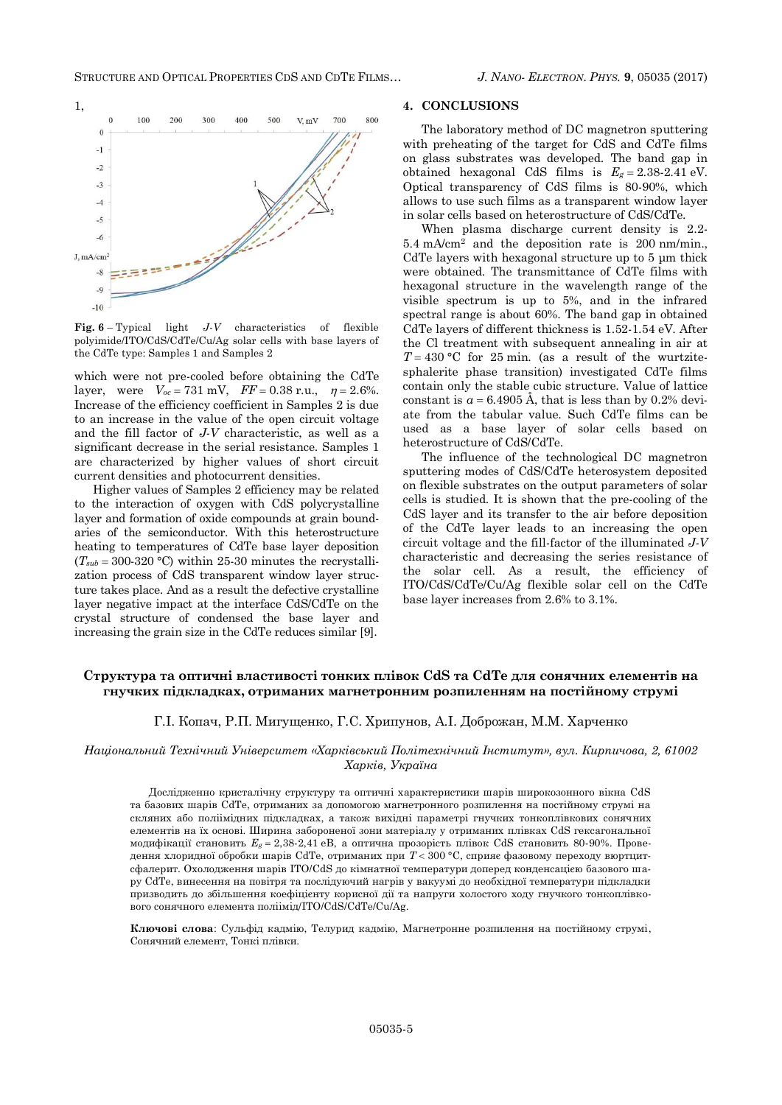

**Fig. 6** – Typical light *J-V* characteristics of flexible polyimide/ITO/CdS/CdTe/Cu/Ag solar cells with base layers of the CdTe type: Samples 1 and Samples 2

which were not pre-cooled before obtaining the CdTe layer, were  $V_{oc} = 731 \text{ mV}$ ,  $FF = 0.38 \text{ r.u.}$ ,  $\eta = 2.6\%$ . Increase of the efficiency coefficient in Samples 2 is due to an increase in the value of the open circuit voltage and the fill factor of *J-V* characteristic, as well as a significant decrease in the serial resistance. Samples 1 are characterized by higher values of short circuit current densities and photocurrent densities.

Higher values of Samples 2 efficiency may be related to the interaction of oxygen with CdS polycrystalline layer and formation of oxide compounds at grain boundaries of the semiconductor. With this heterostructure heating to temperatures of CdTe base layer deposition  $(T_{sub} = 300-320$  °C) within 25-30 minutes the recrystallization process of CdS transparent window layer structure takes place. And as a result the defective crystalline layer negative impact at the interface CdS/CdTe on the crystal structure of condensed the base layer and increasing the grain size in the CdTe reduces similar [9].

#### **4. CONCLUSIONS**

The laboratory method of DC magnetron sputtering with preheating of the target for CdS and CdTe films on glass substrates was developed. The band gap in obtained hexagonal CdS films is  $E_g = 2.38-2.41$  eV. Optical transparency of CdS films is 80-90%, which allows to use such films as a transparent window layer in solar cells based on heterostructure of CdS/CdTe.

When plasma discharge current density is 2.2- 5.4 mA/cm<sup>2</sup> and the deposition rate is 200 nm/min., CdTe layers with hexagonal structure up to 5 μm thick were obtained. The transmittance of CdTe films with hexagonal structure in the wavelength range of the visible spectrum is up to 5%, and in the infrared spectral range is about 60%. The band gap in obtained CdTe layers of different thickness is 1.52-1.54 eV. After the Cl treatment with subsequent annealing in air at  $T = 430$  °C for 25 min. (as a result of the wurtzitesphalerite phase transition) investigated CdTe films contain only the stable cubic structure. Value of lattice constant is  $a = 6.4905$  Å, that is less than by 0.2% deviate from the tabular value. Such CdTe films can be used as a base layer of solar cells based on heterostructure of CdS/CdTe.

The influence of the technological DC magnetron sputtering modes of CdS/CdTe heterosystem deposited on flexible substrates on the output parameters of solar cells is studied. It is shown that the pre-cooling of the CdS layer and its transfer to the air before deposition of the CdTe layer leads to an increasing the open circuit voltage and the fill-factor of the illuminated *J-V* characteristic and decreasing the series resistance of the solar cell. As a result, the efficiency of ITO/CdS/CdTe/Cu/Ag flexible solar cell on the CdTe base layer increases from 2.6% to 3.1%.

# **Структура та оптичні властивості тонких плівок CdS та CdTe для сонячних елементів на гнучких підкладках, отриманих магнетронним розпиленням на постійному струмі**

## Г.І. Копач, Р.П. Мигущенко, Г.С. Хрипунов, А.І. Доброжан, M.M. Харченко

*Національний Технічний Університет «Харківський Політехнічний Інститут», вул. Кирпичова, 2, 61002 Харків, Україна*

Дослідженно кристалічну структуру та оптичні характеристики шарів широкозонного вікна CdS та базових шарів CdTe, отриманих за допомогою магнетронного розпилення на постійному струмі на скляних або поліімідних підкладках, а також вихідні параметрі гнучких тонкоплівкових сонячних елементів на їх основі. Ширина забороненої зони матеріалу у отриманих плівках CdS гексагональної модифікації становить  $E_g = 2,38-2,41$  eB, а оптична прозорість плівок CdS становить 80-90%. Проведення хлоридної обробки шарів CdTe, отриманих при *Т* 300 °С, сприяє фазовому переходу вюртцитсфалерит. Охолодження шарів ITO/CdS до кімнатної температури доперед конденсацією базового шару CdTe, винесення на повітря та послідуючий нагрів у вакуумі до необхідної температури підкладки призводить до збільшення коефіцієнту корисної дії та напруги холостого ходу гнучкого тонкоплівкового сонячного елемента поліімід/ITO/CdS/CdTe/Cu/Ag.

**Ключові слова**: Сульфід кадмію, Телурид кадмію, Магнетронне розпилення на постійному струмі, Сонячний елемент, Тонкі плівки.